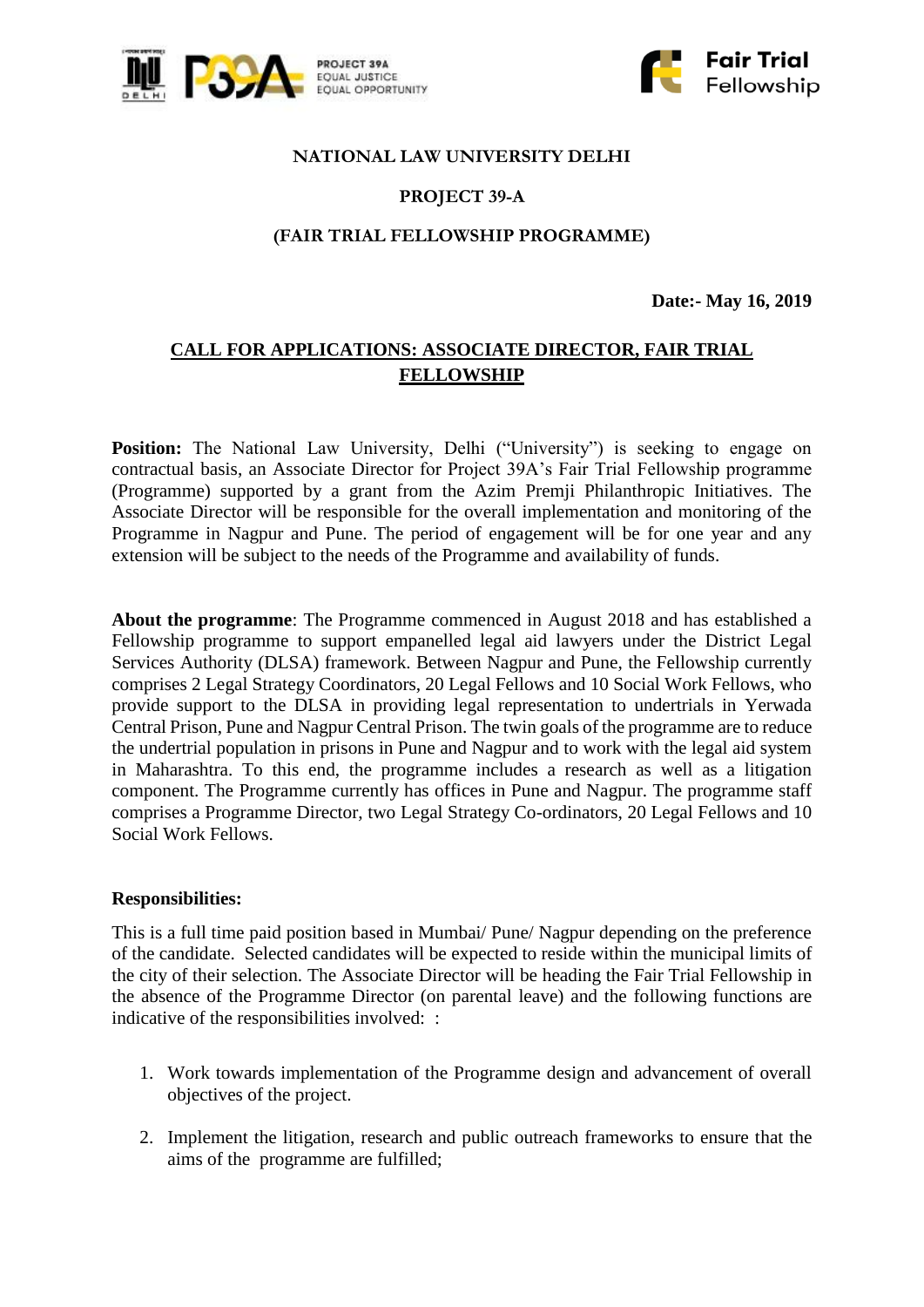



#### **NATIONAL LAW UNIVERSITY DELHI**

# **PROJECT 39-A**

## **(FAIR TRIAL FELLOWSHIP PROGRAMME)**

**Date:- May 16, 2019**

# **CALL FOR APPLICATIONS: ASSOCIATE DIRECTOR, FAIR TRIAL FELLOWSHIP**

**Position:** The National Law University, Delhi ("University") is seeking to engage on contractual basis, an Associate Director for Project 39A's Fair Trial Fellowship programme (Programme) supported by a grant from the Azim Premji Philanthropic Initiatives. The Associate Director will be responsible for the overall implementation and monitoring of the Programme in Nagpur and Pune. The period of engagement will be for one year and any extension will be subject to the needs of the Programme and availability of funds.

**About the programme**: The Programme commenced in August 2018 and has established a Fellowship programme to support empanelled legal aid lawyers under the District Legal Services Authority (DLSA) framework. Between Nagpur and Pune, the Fellowship currently comprises 2 Legal Strategy Coordinators, 20 Legal Fellows and 10 Social Work Fellows, who provide support to the DLSA in providing legal representation to undertrials in Yerwada Central Prison, Pune and Nagpur Central Prison. The twin goals of the programme are to reduce the undertrial population in prisons in Pune and Nagpur and to work with the legal aid system in Maharashtra. To this end, the programme includes a research as well as a litigation component. The Programme currently has offices in Pune and Nagpur. The programme staff comprises a Programme Director, two Legal Strategy Co-ordinators, 20 Legal Fellows and 10 Social Work Fellows.

#### **Responsibilities:**

This is a full time paid position based in Mumbai/ Pune/ Nagpur depending on the preference of the candidate. Selected candidates will be expected to reside within the municipal limits of the city of their selection. The Associate Director will be heading the Fair Trial Fellowship in the absence of the Programme Director (on parental leave) and the following functions are indicative of the responsibilities involved: :

- 1. Work towards implementation of the Programme design and advancement of overall objectives of the project.
- 2. Implement the litigation, research and public outreach frameworks to ensure that the aims of the programme are fulfilled;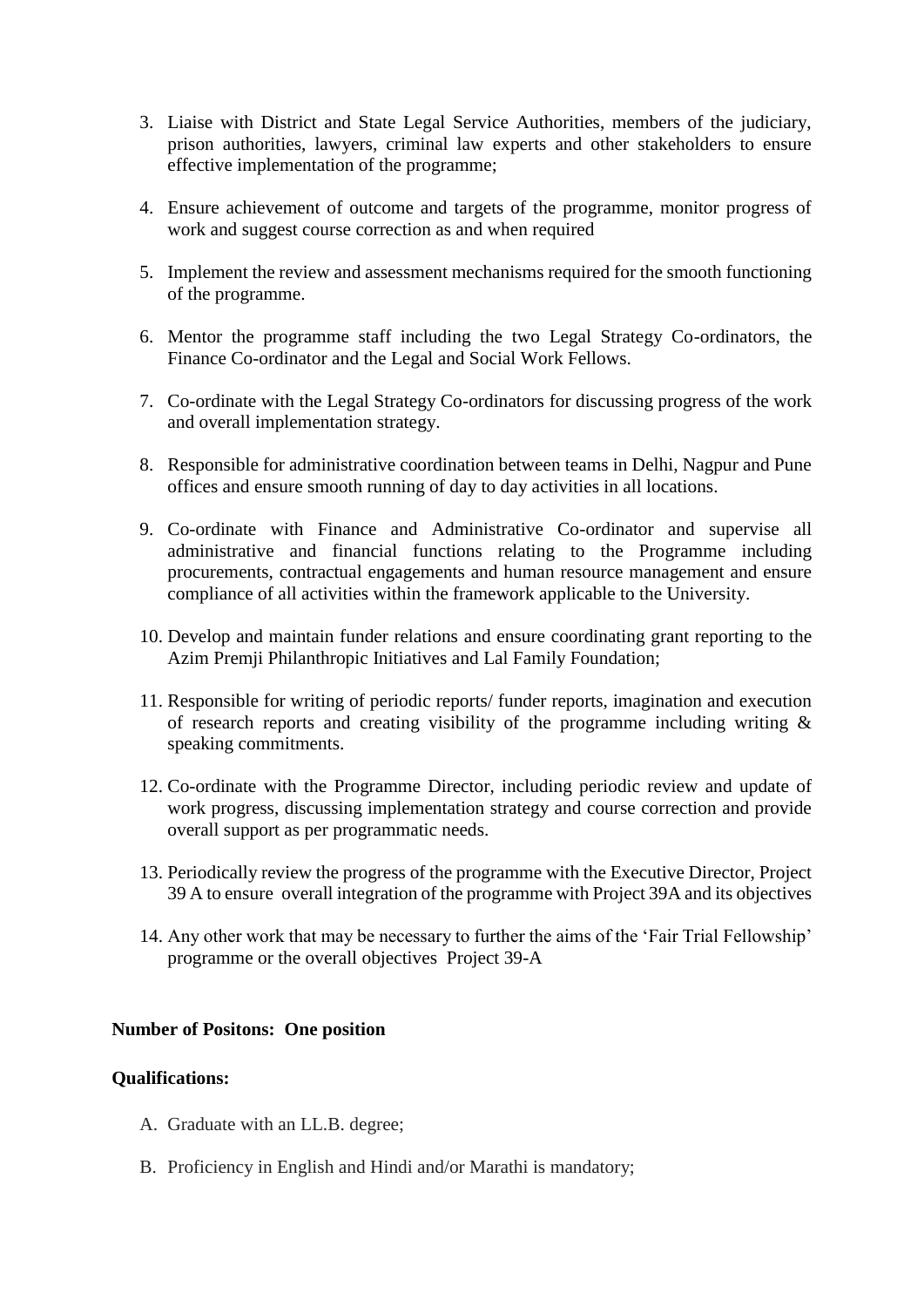- 3. Liaise with District and State Legal Service Authorities, members of the judiciary, prison authorities, lawyers, criminal law experts and other stakeholders to ensure effective implementation of the programme;
- 4. Ensure achievement of outcome and targets of the programme, monitor progress of work and suggest course correction as and when required
- 5. Implement the review and assessment mechanisms required for the smooth functioning of the programme.
- 6. Mentor the programme staff including the two Legal Strategy Co-ordinators, the Finance Co-ordinator and the Legal and Social Work Fellows.
- 7. Co-ordinate with the Legal Strategy Co-ordinators for discussing progress of the work and overall implementation strategy.
- 8. Responsible for administrative coordination between teams in Delhi, Nagpur and Pune offices and ensure smooth running of day to day activities in all locations.
- 9. Co-ordinate with Finance and Administrative Co-ordinator and supervise all administrative and financial functions relating to the Programme including procurements, contractual engagements and human resource management and ensure compliance of all activities within the framework applicable to the University.
- 10. Develop and maintain funder relations and ensure coordinating grant reporting to the Azim Premji Philanthropic Initiatives and Lal Family Foundation;
- 11. Responsible for writing of periodic reports/ funder reports, imagination and execution of research reports and creating visibility of the programme including writing & speaking commitments.
- 12. Co-ordinate with the Programme Director, including periodic review and update of work progress, discussing implementation strategy and course correction and provide overall support as per programmatic needs.
- 13. Periodically review the progress of the programme with the Executive Director, Project 39 A to ensure overall integration of the programme with Project 39A and its objectives
- 14. Any other work that may be necessary to further the aims of the 'Fair Trial Fellowship' programme or the overall objectives Project 39-A

## **Number of Positons: One position**

### **Qualifications:**

- A. Graduate with an LL.B. degree;
- B. Proficiency in English and Hindi and/or Marathi is mandatory;